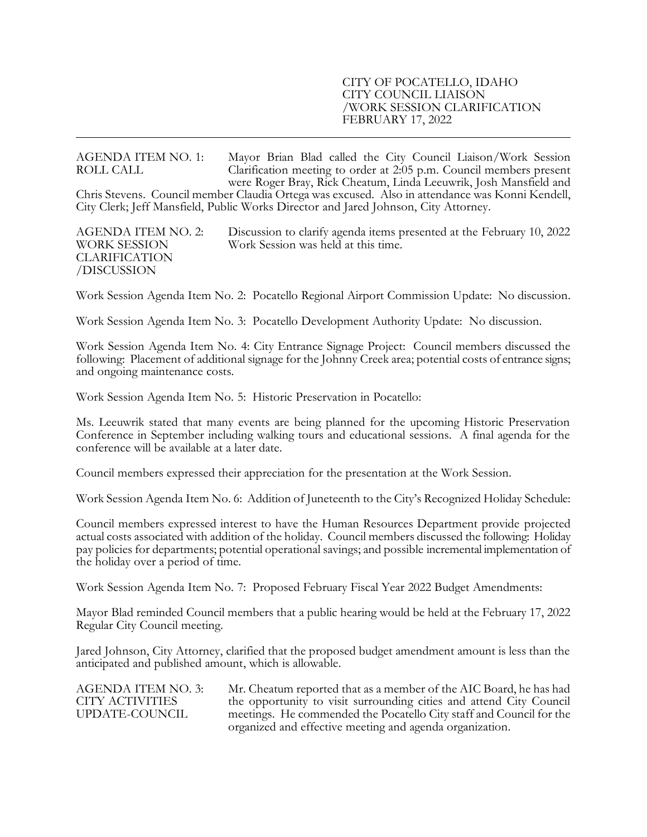### CITY OF POCATELLO, IDAHO CITY COUNCIL LIAISON /WORK SESSION CLARIFICATION FEBRUARY 17, 2022

AGENDA ITEM NO. 1: Mayor Brian Blad called the City Council Liaison/Work Session<br>ROLL CALL Clarification meeting to order at 2:05 p.m. Council members present Clarification meeting to order at  $2.05$  p.m. Council members present were Roger Bray, Rick Cheatum, Linda Leeuwrik, Josh Mansfield and Chris Stevens. Council member Claudia Ortega was excused. Also in attendance was Konni Kendell, City Clerk; Jeff Mansfield, Public Works Director and Jared Johnson, City Attorney.

CLARIFICATION /DISCUSSION

AGENDA ITEM NO. 2: Discussion to clarify agenda items presented at the February 10, 2022 WORK SESSION Work Session was held at this time.

Work Session Agenda Item No. 2: Pocatello Regional Airport Commission Update: No discussion.

Work Session Agenda Item No. 3: Pocatello Development Authority Update: No discussion.

Work Session Agenda Item No. 4: City Entrance Signage Project: Council members discussed the following: Placement of additional signage for the Johnny Creek area; potential costs of entrance signs; and ongoing maintenance costs.

Work Session Agenda Item No. 5: Historic Preservation in Pocatello:

Ms. Leeuwrik stated that many events are being planned for the upcoming Historic Preservation Conference in September including walking tours and educational sessions. A final agenda for the conference will be available at a later date.

Council members expressed their appreciation for the presentation at the Work Session.

Work Session Agenda Item No. 6: Addition of Juneteenth to the City's Recognized Holiday Schedule:

Council members expressed interest to have the Human Resources Department provide projected actual costs associated with addition of the holiday. Council members discussed the following: Holiday pay policies for departments; potential operational savings; and possible incremental implementation of the holiday over a period of time.

Work Session Agenda Item No. 7: Proposed February Fiscal Year 2022 Budget Amendments:

Mayor Blad reminded Council members that a public hearing would be held at the February 17, 2022 Regular City Council meeting.

Jared Johnson, City Attorney, clarified that the proposed budget amendment amount is less than the anticipated and published amount, which is allowable.

| AGENDA ITEM NO. 3: | Mr. Cheatum reported that as a member of the AIC Board, he has had  |
|--------------------|---------------------------------------------------------------------|
| CITY ACTIVITIES    | the opportunity to visit surrounding cities and attend City Council |
| UPDATE-COUNCIL     | meetings. He commended the Pocatello City staff and Council for the |
|                    | organized and effective meeting and agenda organization.            |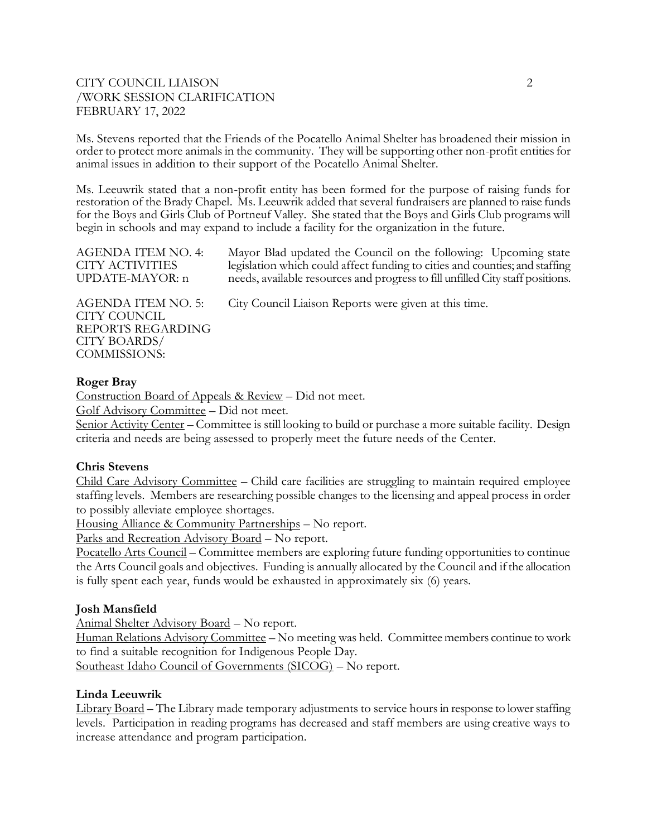# CITY COUNCIL LIAISON 2 /WORK SESSION CLARIFICATION FEBRUARY 17, 2022

Ms. Stevens reported that the Friends of the Pocatello Animal Shelter has broadened their mission in order to protect more animals in the community. They will be supporting other non-profit entities for animal issues in addition to their support of the Pocatello Animal Shelter.

Ms. Leeuwrik stated that a non-profit entity has been formed for the purpose of raising funds for restoration of the Brady Chapel. Ms. Leeuwrik added that several fundraisers are planned to raise funds for the Boys and Girls Club of Portneuf Valley. She stated that the Boys and Girls Club programs will begin in schools and may expand to include a facility for the organization in the future.

| <b>AGENDA ITEM NO. 4:</b>                                                                      | Mayor Blad updated the Council on the following: Upcoming state                |
|------------------------------------------------------------------------------------------------|--------------------------------------------------------------------------------|
| CITY ACTIVITIES                                                                                | legislation which could affect funding to cities and counties; and staffing    |
| UPDATE-MAYOR: n                                                                                | needs, available resources and progress to fill unfilled City staff positions. |
| AGENDA ITEM NO. 5:<br>CITY COUNCIL<br>REPORTS REGARDING<br><b>CITY BOARDS/</b><br>COMMISSIONS: | City Council Liaison Reports were given at this time.                          |

## **Roger Bray**

Construction Board of Appeals & Review – Did not meet.

Golf Advisory Committee – Did not meet.

Senior Activity Center – Committee is still looking to build or purchase a more suitable facility. Design criteria and needs are being assessed to properly meet the future needs of the Center.

## **Chris Stevens**

Child Care Advisory Committee – Child care facilities are struggling to maintain required employee staffing levels. Members are researching possible changes to the licensing and appeal process in order to possibly alleviate employee shortages.

Housing Alliance & Community Partnerships – No report.

Parks and Recreation Advisory Board – No report.

Pocatello Arts Council – Committee members are exploring future funding opportunities to continue the Arts Council goals and objectives. Funding is annually allocated by the Council and if the allocation is fully spent each year, funds would be exhausted in approximately six (6) years.

## **Josh Mansfield**

Animal Shelter Advisory Board – No report.

Human Relations Advisory Committee – No meeting was held. Committee members continue to work to find a suitable recognition for Indigenous People Day.

Southeast Idaho Council of Governments (SICOG) – No report.

## **Linda Leeuwrik**

Library Board – The Library made temporary adjustments to service hours in response to lower staffing levels. Participation in reading programs has decreased and staff members are using creative ways to increase attendance and program participation.